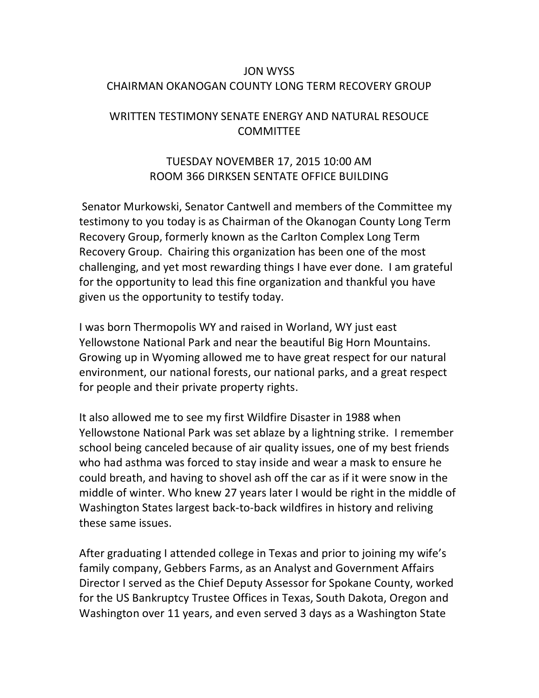## JON WYSS CHAIRMAN OKANOGAN COUNTY LONG TERM RECOVERY GROUP

## WRITTEN TESTIMONY SENATE ENERGY AND NATURAL RESOUCE **COMMITTEE**

## TUESDAY NOVEMBER 17, 2015 10:00 AM ROOM 366 DIRKSEN SENTATE OFFICE BUILDING

Senator Murkowski, Senator Cantwell and members of the Committee my testimony to you today is as Chairman of the Okanogan County Long Term Recovery Group, formerly known as the Carlton Complex Long Term Recovery Group. Chairing this organization has been one of the most challenging, and yet most rewarding things I have ever done. I am grateful for the opportunity to lead this fine organization and thankful you have given us the opportunity to testify today.

I was born Thermopolis WY and raised in Worland, WY just east Yellowstone National Park and near the beautiful Big Horn Mountains. Growing up in Wyoming allowed me to have great respect for our natural environment, our national forests, our national parks, and a great respect for people and their private property rights.

It also allowed me to see my first Wildfire Disaster in 1988 when Yellowstone National Park was set ablaze by a lightning strike. I remember school being canceled because of air quality issues, one of my best friends who had asthma was forced to stay inside and wear a mask to ensure he could breath, and having to shovel ash off the car as if it were snow in the middle of winter. Who knew 27 years later I would be right in the middle of Washington States largest back-to-back wildfires in history and reliving these same issues.

After graduating I attended college in Texas and prior to joining my wife's family company, Gebbers Farms, as an Analyst and Government Affairs Director I served as the Chief Deputy Assessor for Spokane County, worked for the US Bankruptcy Trustee Offices in Texas, South Dakota, Oregon and Washington over 11 years, and even served 3 days as a Washington State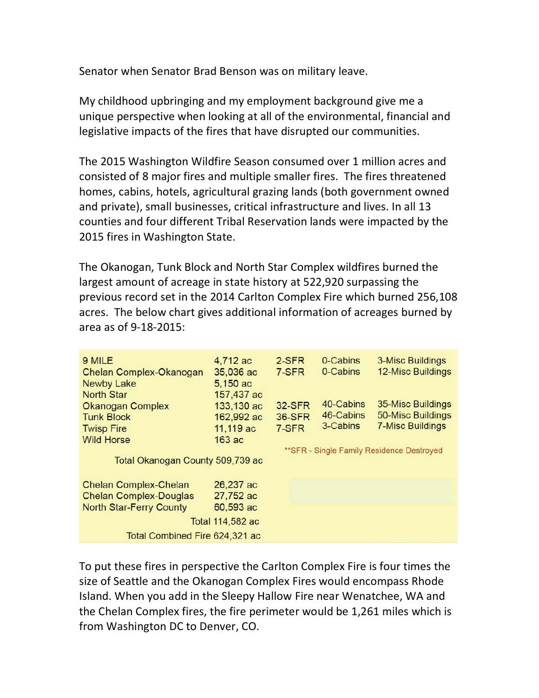Senator when Senator Brad Benson was on military leave.

My childhood upbringing and my employment background give me a unique perspective when looking at all of the environmental, financial and legislative impacts of the fires that have disrupted our communities.

The 2015 Washington Wildfire Season consumed over 1 million acres and consisted of 8 major fires and multiple smaller fires. The fires threatened homes, cabins, hotels, agricultural grazing lands (both government owned and private), small businesses, critical infrastructure and lives. In all 13 counties and four different Tribal Reservation lands were impacted by the 2015 fires in Washington State.

The Okanogan, Tunk Block and North Star Complex wildfires burned the largest amount of acreage in state history at 522,920 surpassing the previous record set in the 2014 Carlton Complex Fire which burned 256,108 acres. The below chart gives additional information of acreages burned by area as of 9-18-2015:

| 9 MILE<br>Chelan Complex-Okanogan<br><b>Newby Lake</b><br><b>North Star</b>                     | 4,712 ac<br>35,036 ac<br>5,150 ac<br>157,437 ac | 2-SFR<br>7-SFR                             | 0-Cabins<br>0-Cabins   | <b>3-Misc Buildings</b><br><b>12-Misc Buildings</b> |
|-------------------------------------------------------------------------------------------------|-------------------------------------------------|--------------------------------------------|------------------------|-----------------------------------------------------|
| <b>Okanogan Complex</b><br><b>Tunk Block</b>                                                    | 133,130 ac<br>162,992 ac                        | <b>32-SFR</b><br><b>36-SFR</b>             | 40-Cabins<br>46-Cabins | 35-Misc Buildings<br><b>50-Misc Buildings</b>       |
| <b>Twisp Fire</b><br><b>Wild Horse</b>                                                          | 11,119 ac<br>$163$ ac                           | 7-SFR                                      | 3-Cabins               | <b>7-Misc Buildings</b>                             |
| Total Okanogan County 509,739 ac                                                                |                                                 | ** SFR - Single Family Residence Destroyed |                        |                                                     |
| <b>Chelan Complex-Chelan</b><br><b>Chelan Complex-Douglas</b><br><b>North Star-Ferry County</b> | 26,237 ac<br>27,752 ac<br>60,593 ac             |                                            |                        |                                                     |
| Total 114,582 ac<br>Total Combined Fire 624,321 ac                                              |                                                 |                                            |                        |                                                     |

To put these fires in perspective the Carlton Complex Fire is four times the size of Seattle and the Okanogan Complex Fires would encompass Rhode Island. When you add in the Sleepy Hallow Fire near Wenatchee, WA and the Chelan Complex fires, the fire perimeter would be 1,261 miles which is from Washington DC to Denver, CO.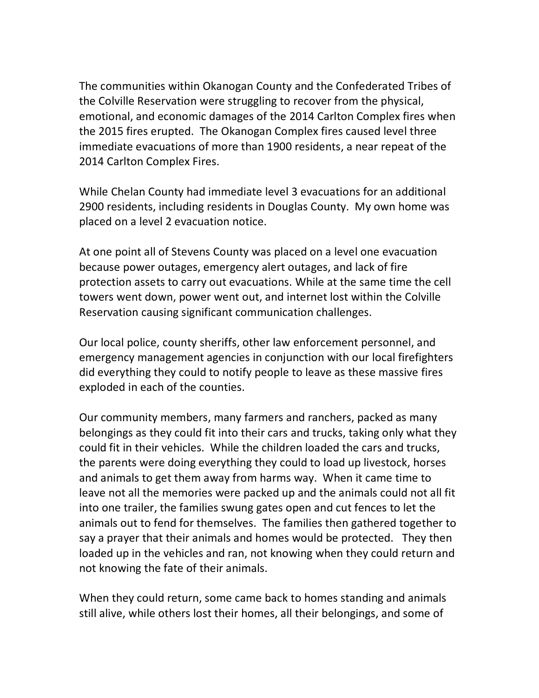The communities within Okanogan County and the Confederated Tribes of the Colville Reservation were struggling to recover from the physical, emotional, and economic damages of the 2014 Carlton Complex fires when the 2015 fires erupted. The Okanogan Complex fires caused level three immediate evacuations of more than 1900 residents, a near repeat of the 2014 Carlton Complex Fires.

While Chelan County had immediate level 3 evacuations for an additional 2900 residents, including residents in Douglas County. My own home was placed on a level 2 evacuation notice.

At one point all of Stevens County was placed on a level one evacuation because power outages, emergency alert outages, and lack of fire protection assets to carry out evacuations. While at the same time the cell towers went down, power went out, and internet lost within the Colville Reservation causing significant communication challenges.

Our local police, county sheriffs, other law enforcement personnel, and emergency management agencies in conjunction with our local firefighters did everything they could to notify people to leave as these massive fires exploded in each of the counties.

Our community members, many farmers and ranchers, packed as many belongings as they could fit into their cars and trucks, taking only what they could fit in their vehicles. While the children loaded the cars and trucks, the parents were doing everything they could to load up livestock, horses and animals to get them away from harms way. When it came time to leave not all the memories were packed up and the animals could not all fit into one trailer, the families swung gates open and cut fences to let the animals out to fend for themselves. The families then gathered together to say a prayer that their animals and homes would be protected. They then loaded up in the vehicles and ran, not knowing when they could return and not knowing the fate of their animals.

When they could return, some came back to homes standing and animals still alive, while others lost their homes, all their belongings, and some of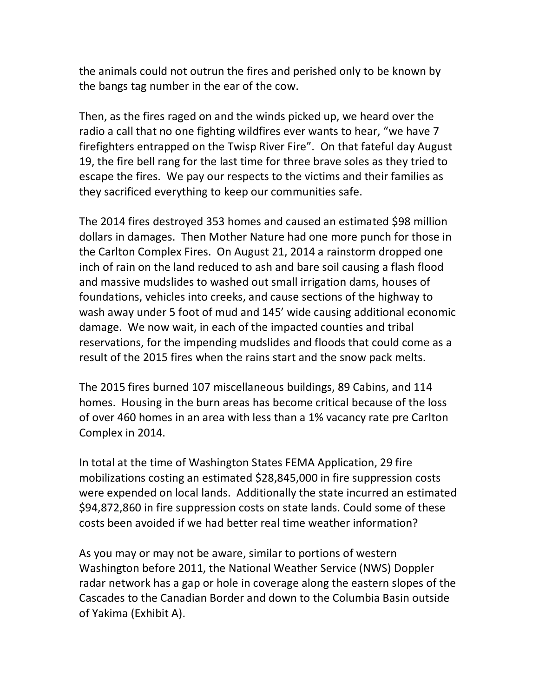the animals could not outrun the fires and perished only to be known by the bangs tag number in the ear of the cow.

Then, as the fires raged on and the winds picked up, we heard over the radio a call that no one fighting wildfires ever wants to hear, "we have 7 firefighters entrapped on the Twisp River Fire". On that fateful day August 19, the fire bell rang for the last time for three brave soles as they tried to escape the fires. We pay our respects to the victims and their families as they sacrificed everything to keep our communities safe.

The 2014 fires destroyed 353 homes and caused an estimated \$98 million dollars in damages. Then Mother Nature had one more punch for those in the Carlton Complex Fires. On August 21, 2014 a rainstorm dropped one inch of rain on the land reduced to ash and bare soil causing a flash flood and massive mudslides to washed out small irrigation dams, houses of foundations, vehicles into creeks, and cause sections of the highway to wash away under 5 foot of mud and 145' wide causing additional economic damage. We now wait, in each of the impacted counties and tribal reservations, for the impending mudslides and floods that could come as a result of the 2015 fires when the rains start and the snow pack melts.

The 2015 fires burned 107 miscellaneous buildings, 89 Cabins, and 114 homes. Housing in the burn areas has become critical because of the loss of over 460 homes in an area with less than a 1% vacancy rate pre Carlton Complex in 2014.

In total at the time of Washington States FEMA Application, 29 fire mobilizations costing an estimated \$28,845,000 in fire suppression costs were expended on local lands. Additionally the state incurred an estimated \$94,872,860 in fire suppression costs on state lands. Could some of these costs been avoided if we had better real time weather information?

As you may or may not be aware, similar to portions of western Washington before 2011, the National Weather Service (NWS) Doppler radar network has a gap or hole in coverage along the eastern slopes of the Cascades to the Canadian Border and down to the Columbia Basin outside of Yakima (Exhibit A).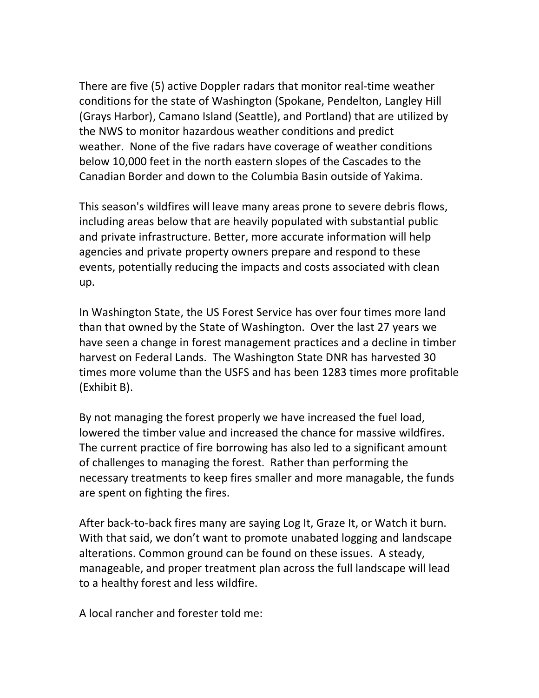There are five (5) active Doppler radars that monitor real-time weather conditions for the state of Washington (Spokane, Pendelton, Langley Hill (Grays Harbor), Camano Island (Seattle), and Portland) that are utilized by the NWS to monitor hazardous weather conditions and predict weather. None of the five radars have coverage of weather conditions below 10,000 feet in the north eastern slopes of the Cascades to the Canadian Border and down to the Columbia Basin outside of Yakima.

This season's wildfires will leave many areas prone to severe debris flows, including areas below that are heavily populated with substantial public and private infrastructure. Better, more accurate information will help agencies and private property owners prepare and respond to these events, potentially reducing the impacts and costs associated with clean up.

In Washington State, the US Forest Service has over four times more land than that owned by the State of Washington. Over the last 27 years we have seen a change in forest management practices and a decline in timber harvest on Federal Lands. The Washington State DNR has harvested 30 times more volume than the USFS and has been 1283 times more profitable (Exhibit B).

By not managing the forest properly we have increased the fuel load, lowered the timber value and increased the chance for massive wildfires. The current practice of fire borrowing has also led to a significant amount of challenges to managing the forest. Rather than performing the necessary treatments to keep fires smaller and more managable, the funds are spent on fighting the fires.

After back-to-back fires many are saying Log It, Graze It, or Watch it burn. With that said, we don't want to promote unabated logging and landscape alterations. Common ground can be found on these issues. A steady, manageable, and proper treatment plan across the full landscape will lead to a healthy forest and less wildfire.

A local rancher and forester told me: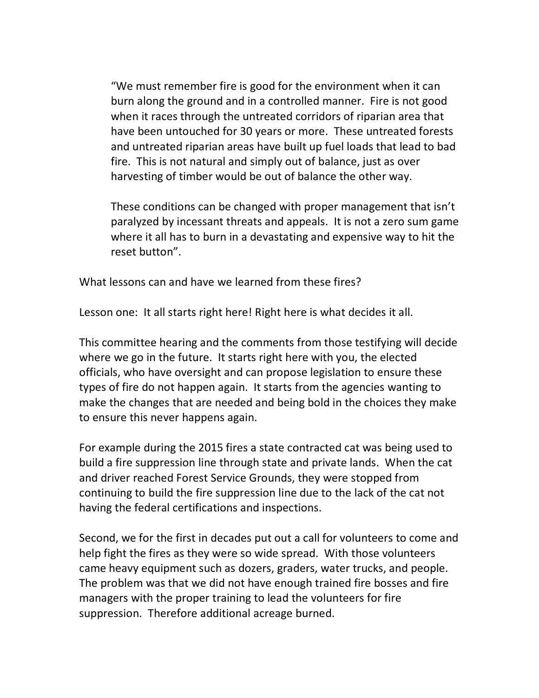"We must remember fire is good for the environment when it can burn along the ground and in a controlled manner. Fire is not good when it races through the untreated corridors of riparian area that have been untouched for 30 years or more. These untreated forests and untreated riparian areas have built up fuel loads that lead to bad fire. This is not natural and simply out of balance, just as over harvesting of timber would be out of balance the other way.

These conditions can be changed with proper management that isn't paralyzed by incessant threats and appeals. It is not a zero sum game where it all has to burn in a devastating and expensive way to hit the reset button".

What lessons can and have we learned from these fires?

Lesson one: It all starts right here! Right here is what decides it all.

This committee hearing and the comments from those testifying will decide where we go in the future. It starts right here with you, the elected officials, who have oversight and can propose legislation to ensure these types of fire do not happen again. It starts from the agencies wanting to make the changes that are needed and being bold in the choices they make to ensure this never happens again.

For example during the 2015 fires a state contracted cat was being used to build a fire suppression line through state and private lands. When the cat and driver reached Forest Service Grounds, they were stopped from continuing to build the fire suppression line due to the lack of the cat not having the federal certifications and inspections.

Second, we for the first in decades put out a call for volunteers to come and help fight the fires as they were so wide spread. With those volunteers came heavy equipment such as dozers, graders, water trucks, and people. The problem was that we did not have enough trained fire bosses and fire managers with the proper training to lead the volunteers for fire suppression. Therefore additional acreage burned.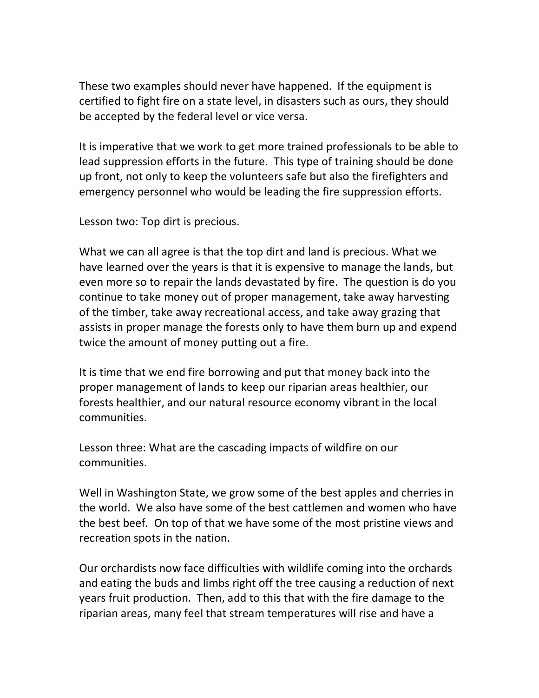These two examples should never have happened. If the equipment is certified to fight fire on a state level, in disasters such as ours, they should be accepted by the federal level or vice versa.

It is imperative that we work to get more trained professionals to be able to lead suppression efforts in the future. This type of training should be done up front, not only to keep the volunteers safe but also the firefighters and emergency personnel who would be leading the fire suppression efforts.

Lesson two: Top dirt is precious.

What we can all agree is that the top dirt and land is precious. What we have learned over the years is that it is expensive to manage the lands, but even more so to repair the lands devastated by fire. The question is do you continue to take money out of proper management, take away harvesting of the timber, take away recreational access, and take away grazing that assists in proper manage the forests only to have them burn up and expend twice the amount of money putting out a fire.

It is time that we end fire borrowing and put that money back into the proper management of lands to keep our riparian areas healthier, our forests healthier, and our natural resource economy vibrant in the local communities.

Lesson three: What are the cascading impacts of wildfire on our communities.

Well in Washington State, we grow some of the best apples and cherries in the world. We also have some of the best cattlemen and women who have the best beef. On top of that we have some of the most pristine views and recreation spots in the nation.

Our orchardists now face difficulties with wildlife coming into the orchards and eating the buds and limbs right off the tree causing a reduction of next years fruit production. Then, add to this that with the fire damage to the riparian areas, many feel that stream temperatures will rise and have a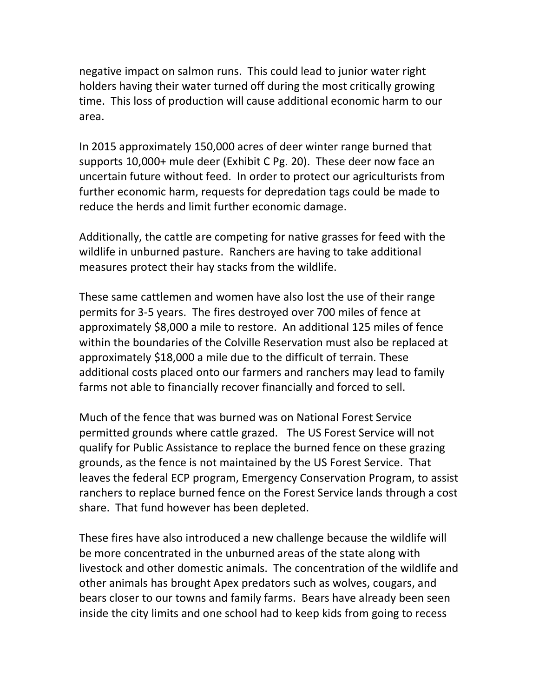negative impact on salmon runs. This could lead to junior water right holders having their water turned off during the most critically growing time. This loss of production will cause additional economic harm to our area.

In 2015 approximately 150,000 acres of deer winter range burned that supports 10,000+ mule deer (Exhibit C Pg. 20). These deer now face an uncertain future without feed. In order to protect our agriculturists from further economic harm, requests for depredation tags could be made to reduce the herds and limit further economic damage.

Additionally, the cattle are competing for native grasses for feed with the wildlife in unburned pasture. Ranchers are having to take additional measures protect their hay stacks from the wildlife.

These same cattlemen and women have also lost the use of their range permits for 3-5 years. The fires destroyed over 700 miles of fence at approximately \$8,000 a mile to restore. An additional 125 miles of fence within the boundaries of the Colville Reservation must also be replaced at approximately \$18,000 a mile due to the difficult of terrain. These additional costs placed onto our farmers and ranchers may lead to family farms not able to financially recover financially and forced to sell.

Much of the fence that was burned was on National Forest Service permitted grounds where cattle grazed. The US Forest Service will not qualify for Public Assistance to replace the burned fence on these grazing grounds, as the fence is not maintained by the US Forest Service. That leaves the federal ECP program, Emergency Conservation Program, to assist ranchers to replace burned fence on the Forest Service lands through a cost share. That fund however has been depleted.

These fires have also introduced a new challenge because the wildlife will be more concentrated in the unburned areas of the state along with livestock and other domestic animals. The concentration of the wildlife and other animals has brought Apex predators such as wolves, cougars, and bears closer to our towns and family farms. Bears have already been seen inside the city limits and one school had to keep kids from going to recess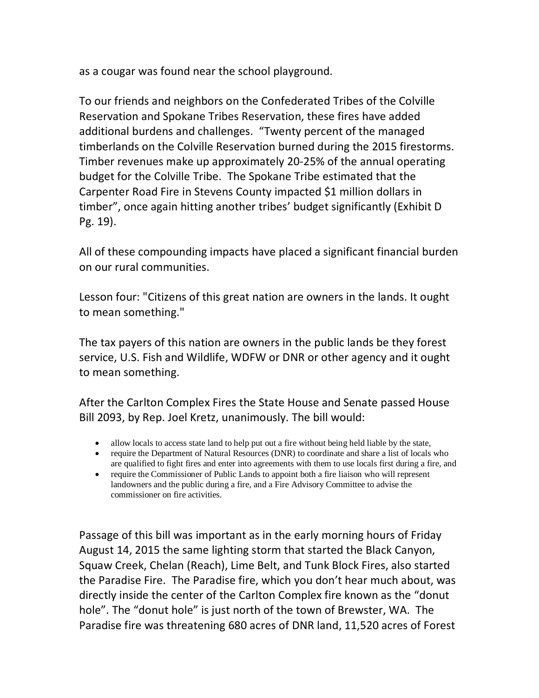as a cougar was found near the school playground.

To our friends and neighbors on the Confederated Tribes of the Colville Reservation and Spokane Tribes Reservation, these fires have added additional burdens and challenges. "Twenty percent of the managed timberlands on the Colville Reservation burned during the 2015 firestorms. Timber revenues make up approximately 20-25% of the annual operating budget for the Colville Tribe. The Spokane Tribe estimated that the Carpenter Road Fire in Stevens County impacted \$1 million dollars in timber", once again hitting another tribes' budget significantly (Exhibit D Pg. 19).

All of these compounding impacts have placed a significant financial burden on our rural communities.

Lesson four: "Citizens of this great nation are owners in the lands. It ought to mean something."

The tax payers of this nation are owners in the public lands be they forest service, U.S. Fish and Wildlife, WDFW or DNR or other agency and it ought to mean something.

After the Carlton Complex Fires the State House and Senate passed House Bill 2093, by Rep. Joel Kretz, unanimously. The bill would:

- allow locals to access state land to help put out a fire without being held liable by the state,
- require the Department of Natural Resources (DNR) to coordinate and share a list of locals who are qualified to fight fires and enter into agreements with them to use locals first during a fire, and
- require the Commissioner of Public Lands to appoint both a fire liaison who will represent landowners and the public during a fire, and a Fire Advisory Committee to advise the commissioner on fire activities.

Passage of this bill was important as in the early morning hours of Friday August 14, 2015 the same lighting storm that started the Black Canyon, Squaw Creek, Chelan (Reach), Lime Belt, and Tunk Block Fires, also started the Paradise Fire. The Paradise fire, which you don't hear much about, was directly inside the center of the Carlton Complex fire known as the "donut hole". The "donut hole" is just north of the town of Brewster, WA. The Paradise fire was threatening 680 acres of DNR land, 11,520 acres of Forest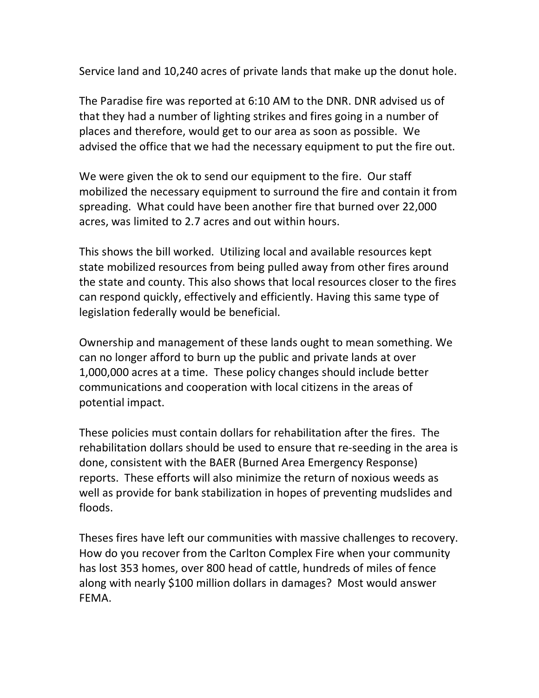Service land and 10,240 acres of private lands that make up the donut hole.

The Paradise fire was reported at 6:10 AM to the DNR. DNR advised us of that they had a number of lighting strikes and fires going in a number of places and therefore, would get to our area as soon as possible. We advised the office that we had the necessary equipment to put the fire out.

We were given the ok to send our equipment to the fire. Our staff mobilized the necessary equipment to surround the fire and contain it from spreading. What could have been another fire that burned over 22,000 acres, was limited to 2.7 acres and out within hours.

This shows the bill worked. Utilizing local and available resources kept state mobilized resources from being pulled away from other fires around the state and county. This also shows that local resources closer to the fires can respond quickly, effectively and efficiently. Having this same type of legislation federally would be beneficial.

Ownership and management of these lands ought to mean something. We can no longer afford to burn up the public and private lands at over 1,000,000 acres at a time. These policy changes should include better communications and cooperation with local citizens in the areas of potential impact.

These policies must contain dollars for rehabilitation after the fires. The rehabilitation dollars should be used to ensure that re-seeding in the area is done, consistent with the BAER (Burned Area Emergency Response) reports. These efforts will also minimize the return of noxious weeds as well as provide for bank stabilization in hopes of preventing mudslides and floods.

Theses fires have left our communities with massive challenges to recovery. How do you recover from the Carlton Complex Fire when your community has lost 353 homes, over 800 head of cattle, hundreds of miles of fence along with nearly \$100 million dollars in damages? Most would answer FEMA.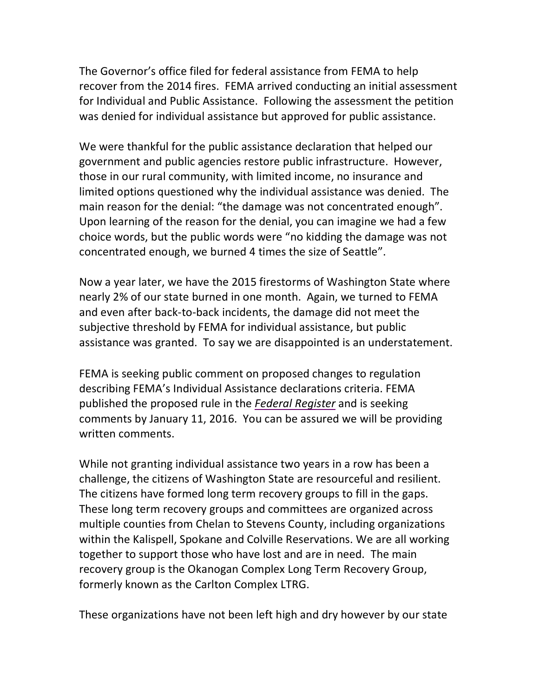The Governor's office filed for federal assistance from FEMA to help recover from the 2014 fires. FEMA arrived conducting an initial assessment for Individual and Public Assistance. Following the assessment the petition was denied for individual assistance but approved for public assistance.

We were thankful for the public assistance declaration that helped our government and public agencies restore public infrastructure. However, those in our rural community, with limited income, no insurance and limited options questioned why the individual assistance was denied. The main reason for the denial: "the damage was not concentrated enough". Upon learning of the reason for the denial, you can imagine we had a few choice words, but the public words were "no kidding the damage was not concentrated enough, we burned 4 times the size of Seattle".

Now a year later, we have the 2015 firestorms of Washington State where nearly 2% of our state burned in one month. Again, we turned to FEMA and even after back-to-back incidents, the damage did not meet the subjective threshold by FEMA for individual assistance, but public assistance was granted. To say we are disappointed is an understatement.

FEMA is seeking public comment on proposed changes to regulation describing FEMA's Individual Assistance declarations criteria. FEMA published the proposed rule in the *[Federal Register](https://www.federalregister.gov/articles/2015/11/12/2015-28570/factors-considered-when-evaluating-a-governors-request-for-individual-assistance-for-a-major)* and is seeking comments by January 11, 2016. You can be assured we will be providing written comments.

While not granting individual assistance two years in a row has been a challenge, the citizens of Washington State are resourceful and resilient. The citizens have formed long term recovery groups to fill in the gaps. These long term recovery groups and committees are organized across multiple counties from Chelan to Stevens County, including organizations within the Kalispell, Spokane and Colville Reservations. We are all working together to support those who have lost and are in need. The main recovery group is the Okanogan Complex Long Term Recovery Group, formerly known as the Carlton Complex LTRG.

These organizations have not been left high and dry however by our state